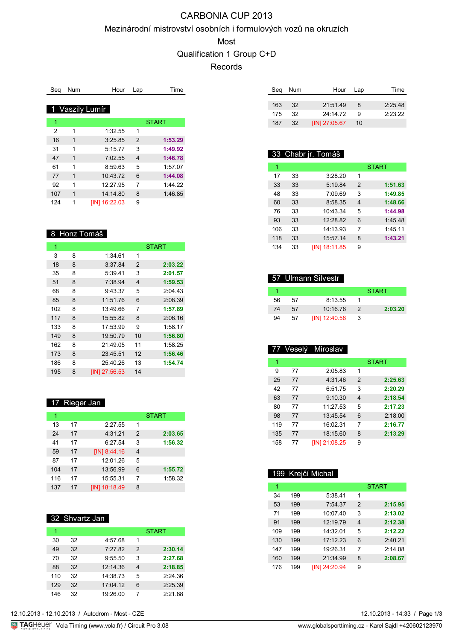# CARBONIA CUP 2013

#### Mezinárodní mistrovství osobních i formulových vozů na okruzích

Most

Qualification 1 Group C+D

Records

| Seg | <b>Num</b> | Hour            | Lap            | Time         |
|-----|------------|-----------------|----------------|--------------|
|     |            |                 |                |              |
|     |            | 1 Vaszily Lumír |                |              |
| 1   |            |                 |                | <b>START</b> |
| 2   | 1          | 1:32.55         | 1              |              |
| 16  | 1          | 3:25.85         | $\overline{2}$ | 1:53.29      |
| 31  | 1          | 5:15.77         | 3              | 1:49.92      |
| 47  | 1          | 7:02.55         | 4              | 1:46.78      |
| 61  | 1          | 8:59.63         | 5              | 1:57.07      |
| 77  | 1          | 10:43.72        | 6              | 1:44.08      |
| 92  | 1          | 12:27.95        | 7              | 1:44.22      |
| 107 | 1          | 14:14.80        | 8              | 1:46.85      |
| 124 | 1          | [IN] 16:22.03   | 9              |              |

## 8 Honz Tomáš

| 1   |   |               |                | <b>START</b> |
|-----|---|---------------|----------------|--------------|
| 3   | 8 | 1:34.61       | 1              |              |
| 18  | 8 | 3:37.84       | $\overline{2}$ | 2:03.22      |
| 35  | 8 | 5:39.41       | 3              | 2:01.57      |
| 51  | 8 | 7:38.94       | $\overline{4}$ | 1:59.53      |
| 68  | 8 | 9:43.37       | 5              | 2:04.43      |
| 85  | 8 | 11:51.76      | 6              | 2:08.39      |
| 102 | 8 | 13:49.66      | 7              | 1:57.89      |
| 117 | 8 | 15:55.82      | 8              | 2:06.16      |
| 133 | 8 | 17:53.99      | 9              | 1:58.17      |
| 149 | 8 | 19:50.79      | 10             | 1:56.80      |
| 162 | 8 | 21:49.05      | 11             | 1:58.25      |
| 173 | 8 | 23:45.51      | 12             | 1:56.46      |
| 186 | 8 | 25:40.26      | 13             | 1:54.74      |
| 195 | 8 | IIN1 27:56.53 | 14             |              |

#### 17 Rieger Jan

| 1   |    |                |                | <b>START</b> |
|-----|----|----------------|----------------|--------------|
| 13  | 17 | 2:27.55        | 1              |              |
| 24  | 17 | 4:31.21        | $\overline{2}$ | 2:03.65      |
| 41  | 17 | 6:27.54        | 3              | 1:56.32      |
| 59  | 17 | $[IN]$ 8:44.16 | $\overline{4}$ |              |
| 87  | 17 | 12:01.26       | 5              |              |
| 104 | 17 | 13:56.99       | 6              | 1:55.72      |
| 116 | 17 | 15:55.31       | 7              | 1:58.32      |
| 137 | 17 | [IN] 18:18.49  | 8              |              |

### 32 Shvartz Jan

|     |    |          |               | <b>START</b> |
|-----|----|----------|---------------|--------------|
| 30  | 32 | 4:57.68  | 1             |              |
| 49  | 32 | 7:27.82  | $\mathcal{P}$ | 2:30.14      |
| 70  | 32 | 9:55.50  | 3             | 2:27.68      |
| 88  | 32 | 12:14.36 | 4             | 2:18.85      |
| 110 | 32 | 14:38.73 | 5             | 2:24.36      |
| 129 | 32 | 17:04.12 | 6             | 2:25.39      |
| 146 | 32 | 19:26.00 | 7             | 2:21.88      |

|     | Seg Num | Hour Lap        |    | Time    |
|-----|---------|-----------------|----|---------|
|     |         |                 |    |         |
| 163 | -32     | 21:51.49        | -8 | 2:25.48 |
| 175 | -32     | 24.1472         | я  | 2.2322  |
| 187 | 32      | $[IN]$ 27:05.67 | 10 |         |

## 33 Chabr jr. Tomáš

|     |    |               |   | <b>START</b> |
|-----|----|---------------|---|--------------|
| 17  | 33 | 3:28.20       | 1 |              |
| 33  | 33 | 5:19.84       | 2 | 1:51.63      |
| 48  | 33 | 7:09.69       | 3 | 1:49.85      |
| 60  | 33 | 8:58.35       | 4 | 1:48.66      |
| 76  | 33 | 10:43.34      | 5 | 1:44.98      |
| 93  | 33 | 12:28.82      | 6 | 1:45.48      |
| 106 | 33 | 14:13.93      | 7 | 1:45.11      |
| 118 | 33 | 15:57.14      | 8 | 1:43.21      |
| 134 | 33 | IIN1 18:11.85 | 9 |              |

#### 57 Ulmann Silvestr

|    |    |               |    | <b>START</b> |
|----|----|---------------|----|--------------|
| 56 | 57 | 8:13.55       |    |              |
| 74 | 57 | 10:16.76      | 2  | 2:03.20      |
| 94 | 57 | [IN] 12:40.56 | -3 |              |

#### 77 Veselý Miroslav

| 1   |    |                     |                | <b>START</b> |
|-----|----|---------------------|----------------|--------------|
| 9   | 77 | 2:05.83             | 1              |              |
| 25  | 77 | 4:31.46             | 2              | 2:25.63      |
| 42  | 77 | 6:51.75             | 3              | 2:20.29      |
| 63  | 77 | 9:10.30             | $\overline{4}$ | 2:18.54      |
| 80  | 77 | 11:27.53            | 5              | 2:17.23      |
| 98  | 77 | 13:45.54            | 6              | 2:18.00      |
| 119 | 77 | 16:02.31            | 7              | 2:16.77      |
| 135 | 77 | 18:15.60            | 8              | 2:13.29      |
| 158 | 77 | <b>IIN121:08.25</b> | 9              |              |

### 199 Krejčí Michal

| 1   |     |                     |   | <b>START</b> |
|-----|-----|---------------------|---|--------------|
| 34  | 199 | 5:38.41             | 1 |              |
| 53  | 199 | 7:54.37             | 2 | 2:15.95      |
| 71  | 199 | 10:07.40            | 3 | 2:13.02      |
| 91  | 199 | 12:19.79            | 4 | 2:12.38      |
| 109 | 199 | 14:32.01            | 5 | 2:12.22      |
| 130 | 199 | 17:12.23            | 6 | 2:40.21      |
| 147 | 199 | 19:26.31            | 7 | 2:14.08      |
| 160 | 199 | 21:34.99            | 8 | 2:08.67      |
| 176 | 199 | <b>IIN124:20.94</b> | 9 |              |

12.10.2013 - 14:33 / Page 1/3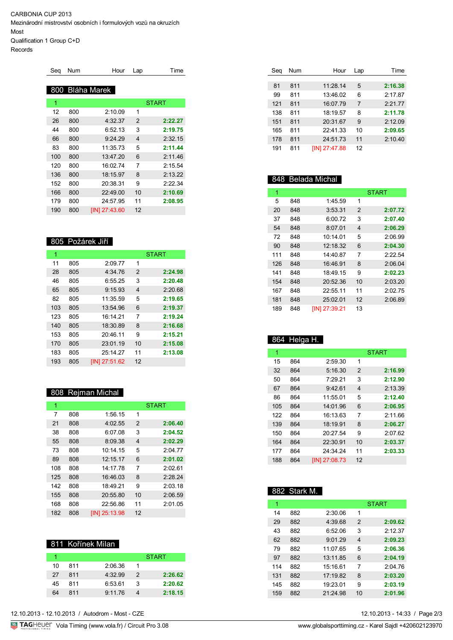CARBONIA CUP 2013 Mezinárodní mistrovství osobních i formulových vozů na okruzích Most Qualification 1 Group C+D

Records

| Seq | <b>Num</b> | Hour            | Lap            | Time         |
|-----|------------|-----------------|----------------|--------------|
|     |            |                 |                |              |
|     |            | 800 Bláha Marek |                |              |
| 1   |            |                 |                | <b>START</b> |
| 12  | 800        | 2:10.09         | 1              |              |
| 26  | 800        | 4:32.37         | 2              | 2:22.27      |
| 44  | 800        | 6:52.13         | 3              | 2:19.75      |
| 66  | 800        | 9:24.29         | $\overline{4}$ | 2:32.15      |
| 83  | 800        | 11:35.73        | 5              | 2:11.44      |
| 100 | 800        | 13:47.20        | 6              | 2:11.46      |
| 120 | 800        | 16:02.74        | 7              | 2:15.54      |
| 136 | 800        | 18:15.97        | 8              | 2:13.22      |
| 152 | 800        | 20:38.31        | 9              | 2:22.34      |
| 166 | 800        | 22:49.00        | 10             | 2:10.69      |
| 179 | 800        | 24:57.95        | 11             | 2:08.95      |
| 190 | 800        | [IN] 27:43.60   | 12             |              |

## 805 Požárek Jiří

| 1   |     |               |                | <b>START</b> |
|-----|-----|---------------|----------------|--------------|
| 11  | 805 | 2:09.77       | 1              |              |
| 28  | 805 | 4:34.76       | 2              | 2:24.98      |
| 46  | 805 | 6:55.25       | 3              | 2:20.48      |
| 65  | 805 | 9:15.93       | $\overline{4}$ | 2:20.68      |
| 82  | 805 | 11:35.59      | 5              | 2:19.65      |
| 103 | 805 | 13:54.96      | 6              | 2:19.37      |
| 123 | 805 | 16:14 21      | 7              | 2:19.24      |
| 140 | 805 | 18:30.89      | 8              | 2:16.68      |
| 153 | 805 | 20:46.11      | 9              | 2:15.21      |
| 170 | 805 | 23:01.19      | 10             | 2:15.08      |
| 183 | 805 | 25:14.27      | 11             | 2:13.08      |
| 193 | 805 | [IN] 27:51.62 | 12             |              |

## 808 Rejman Michal

| 1   |     |               |    | <b>START</b> |
|-----|-----|---------------|----|--------------|
| 7   | 808 | 1:56.15       | 1  |              |
| 21  | 808 | 4:02.55       | 2  | 2:06.40      |
| 38  | 808 | 6:07.08       | 3  | 2:04.52      |
| 55  | 808 | 8:09.38       | 4  | 2:02.29      |
| 73  | 808 | $10.14$ 15    | 5  | 2:04.77      |
| 89  | 808 | 12:15.17      | 6  | 2:01.02      |
| 108 | 808 | 14.1778       | 7  | 2:02.61      |
| 125 | 808 | 16:46.03      | 8  | 2:28.24      |
| 142 | 808 | 18:49.21      | 9  | 2:03.18      |
| 155 | 808 | 20:55.80      | 10 | 2:06.59      |
| 168 | 808 | 22:56.86      | 11 | 2:01.05      |
| 182 | 808 | IIN1 25:13.98 | 12 |              |

## 811 Kořínek Milan

|    |     |         |               | <b>START</b> |
|----|-----|---------|---------------|--------------|
| 10 | 811 | 2:06.36 |               |              |
| 27 | 811 | 4.3299  | $\mathcal{P}$ | 2:26.62      |
| 45 | 811 | 6:53.61 | З             | 2:20.62      |
| 64 | 811 | 9:11.76 |               | 2:18.15      |

| Sea | Num | Hour          | Lap | Time    |
|-----|-----|---------------|-----|---------|
|     |     |               |     |         |
| 81  | 811 | 11:28.14      | 5   | 2:16.38 |
| 99  | 811 | 13:46.02      | 6   | 2:17.87 |
| 121 | 811 | 16:07.79      | 7   | 2:21.77 |
| 138 | 811 | 18:19.57      | 8   | 2:11.78 |
| 151 | 811 | 20:31.67      | 9   | 2:12.09 |
| 165 | 811 | 22:41.33      | 10  | 2:09.65 |
| 178 | 811 | 24:51.73      | 11  | 2:10.40 |
| 191 | 811 | [IN] 27:47.88 | 12  |         |

# 848 Belada Michal

| 1   |     |               |               | <b>START</b> |
|-----|-----|---------------|---------------|--------------|
| 5   | 848 | 1:45.59       | 1             |              |
| 20  | 848 | 3:53.31       | $\mathcal{P}$ | 2:07.72      |
| 37  | 848 | 6:00.72       | 3             | 2:07.40      |
| 54  | 848 | 8:07.01       | 4             | 2:06.29      |
| 72  | 848 | 10:14.01      | 5             | 2:06.99      |
| 90  | 848 | 12.18.32      | 6             | 2:04.30      |
| 111 | 848 | 14:40.87      | 7             | 2.22.54      |
| 126 | 848 | 16:46.91      | 8             | 2:06.04      |
| 141 | 848 | 18:49 15      | 9             | 2:02.23      |
| 154 | 848 | 20:52.36      | 10            | 2:03.20      |
| 167 | 848 | 22:55.11      | 11            | 2.0275       |
| 181 | 848 | 25:02.01      | 12            | 2:06.89      |
| 189 | 848 | [IN] 27:39.21 | 13            |              |

### 864 Helga H.

| 1   |     |               |    | <b>START</b> |
|-----|-----|---------------|----|--------------|
| 15  | 864 | 2:59.30       | 1  |              |
| 32  | 864 | 5:16.30       | 2  | 2:16.99      |
| 50  | 864 | 7:29.21       | 3  | 2:12.90      |
| 67  | 864 | 9:42.61       | 4  | 2:13.39      |
| 86  | 864 | 11:55.01      | 5  | 2:12.40      |
| 105 | 864 | 14:01.96      | 6  | 2:06.95      |
| 122 | 864 | 16:13.63      | 7  | 2:11.66      |
| 139 | 864 | 18:19.91      | 8  | 2:06.27      |
| 150 | 864 | 20:27.54      | 9  | 2:07.62      |
| 164 | 864 | 22:30.91      | 10 | 2:03.37      |
| 177 | 864 | 24:34.24      | 11 | 2:03.33      |
| 188 | 864 | [IN] 27:08.73 | 12 |              |

## 882 Stark M.

| 1   |     |          |    | <b>START</b> |
|-----|-----|----------|----|--------------|
| 14  | 882 | 2:30.06  | 1  |              |
| 29  | 882 | 4:39.68  | 2  | 2:09.62      |
| 43  | 882 | 6:52.06  | 3  | 2:12.37      |
| 62  | 882 | 9:01.29  | 4  | 2:09.23      |
| 79  | 882 | 11.0765  | 5  | 2:06.36      |
| 97  | 882 | 13:11.85 | 6  | 2:04.19      |
| 114 | 882 | 15:16.61 | 7  | 2.0476       |
| 131 | 882 | 17:19.82 | 8  | 2:03.20      |
| 145 | 882 | 19:23.01 | 9  | 2:03.19      |
| 159 | 882 | 21:24.98 | 10 | 2:01.96      |

12.10.2013 - 14:33 / Page 2/3